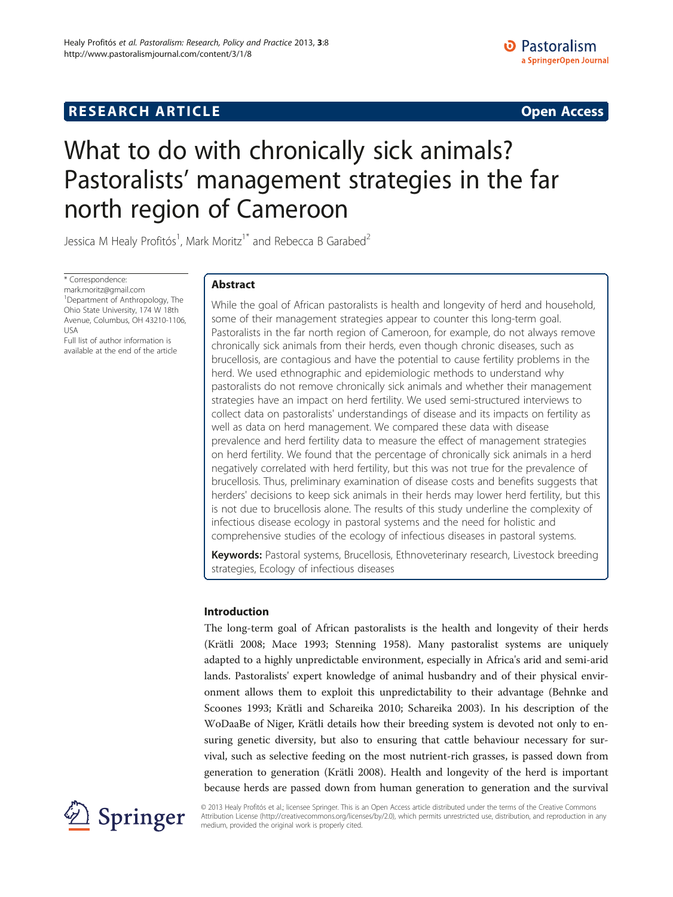# **RESEARCH ARTICLE Example 2014 12:30 The SEAR CH ACCESS**

# What to do with chronically sick animals? Pastoralists' management strategies in the far north region of Cameroon

Jessica M Healy Profitós<sup>1</sup>, Mark Moritz<sup>1\*</sup> and Rebecca B Garabed<sup>2</sup>

\* Correspondence: mark.moritz@gmail.com <sup>1</sup>Department of Anthropology, The Ohio State University, 174 W 18th Avenue, Columbus, OH 43210-1106, USA

Full list of author information is available at the end of the article

# Abstract

While the goal of African pastoralists is health and longevity of herd and household, some of their management strategies appear to counter this long-term goal. Pastoralists in the far north region of Cameroon, for example, do not always remove chronically sick animals from their herds, even though chronic diseases, such as brucellosis, are contagious and have the potential to cause fertility problems in the herd. We used ethnographic and epidemiologic methods to understand why pastoralists do not remove chronically sick animals and whether their management strategies have an impact on herd fertility. We used semi-structured interviews to collect data on pastoralists' understandings of disease and its impacts on fertility as well as data on herd management. We compared these data with disease prevalence and herd fertility data to measure the effect of management strategies on herd fertility. We found that the percentage of chronically sick animals in a herd negatively correlated with herd fertility, but this was not true for the prevalence of brucellosis. Thus, preliminary examination of disease costs and benefits suggests that herders' decisions to keep sick animals in their herds may lower herd fertility, but this is not due to brucellosis alone. The results of this study underline the complexity of infectious disease ecology in pastoral systems and the need for holistic and comprehensive studies of the ecology of infectious diseases in pastoral systems.

Keywords: Pastoral systems, Brucellosis, Ethnoveterinary research, Livestock breeding strategies, Ecology of infectious diseases

# Introduction

The long-term goal of African pastoralists is the health and longevity of their herds (Krätli [2008](#page-10-0); Mace [1993;](#page-10-0) Stenning [1958\)](#page-10-0). Many pastoralist systems are uniquely adapted to a highly unpredictable environment, especially in Africa's arid and semi-arid lands. Pastoralists' expert knowledge of animal husbandry and of their physical environment allows them to exploit this unpredictability to their advantage (Behnke and Scoones [1993](#page-9-0); Krätli and Schareika [2010;](#page-10-0) Schareika [2003](#page-10-0)). In his description of the WoDaaBe of Niger, Krätli details how their breeding system is devoted not only to ensuring genetic diversity, but also to ensuring that cattle behaviour necessary for survival, such as selective feeding on the most nutrient-rich grasses, is passed down from generation to generation (Krätli [2008\)](#page-10-0). Health and longevity of the herd is important because herds are passed down from human generation to generation and the survival



© 2013 Healy Profitós et al.; licensee Springer. This is an Open Access article distributed under the terms of the Creative Commons Attribution License [\(http://creativecommons.org/licenses/by/2.0\)](http://creativecommons.org/licenses/by/2.0), which permits unrestricted use, distribution, and reproduction in any medium, provided the original work is properly cited.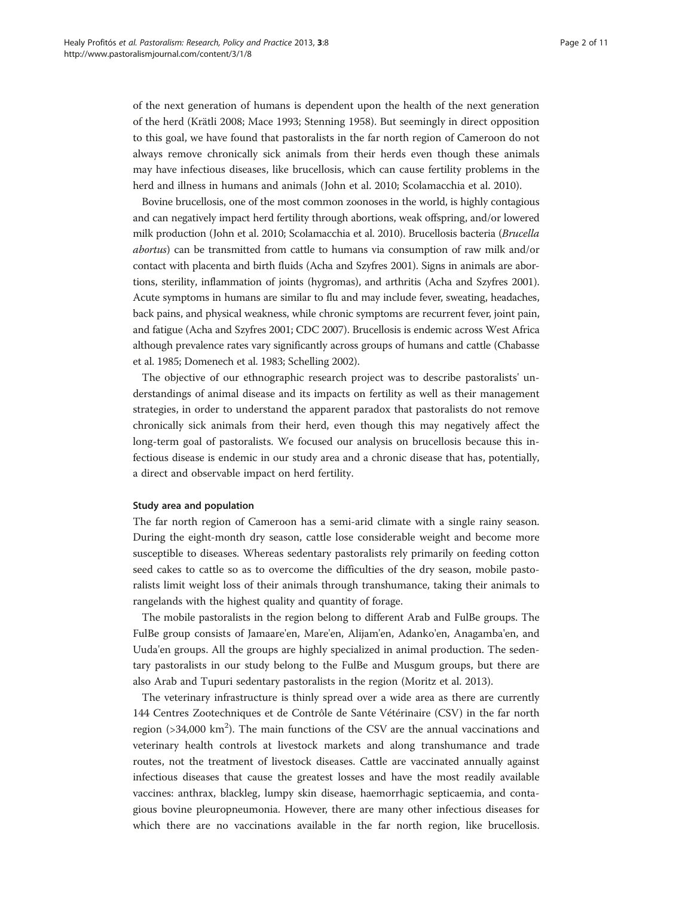of the next generation of humans is dependent upon the health of the next generation of the herd (Krätli [2008;](#page-10-0) Mace [1993](#page-10-0); Stenning [1958](#page-10-0)). But seemingly in direct opposition to this goal, we have found that pastoralists in the far north region of Cameroon do not always remove chronically sick animals from their herds even though these animals may have infectious diseases, like brucellosis, which can cause fertility problems in the herd and illness in humans and animals (John et al. [2010](#page-10-0); Scolamacchia et al. [2010\)](#page-10-0).

Bovine brucellosis, one of the most common zoonoses in the world, is highly contagious and can negatively impact herd fertility through abortions, weak offspring, and/or lowered milk production (John et al. [2010](#page-10-0); Scolamacchia et al. [2010\)](#page-10-0). Brucellosis bacteria (Brucella abortus) can be transmitted from cattle to humans via consumption of raw milk and/or contact with placenta and birth fluids (Acha and Szyfres [2001](#page-9-0)). Signs in animals are abortions, sterility, inflammation of joints (hygromas), and arthritis (Acha and Szyfres [2001](#page-9-0)). Acute symptoms in humans are similar to flu and may include fever, sweating, headaches, back pains, and physical weakness, while chronic symptoms are recurrent fever, joint pain, and fatigue (Acha and Szyfres [2001](#page-9-0); CDC [2007](#page-9-0)). Brucellosis is endemic across West Africa although prevalence rates vary significantly across groups of humans and cattle (Chabasse et al. [1985](#page-9-0); Domenech et al. [1983](#page-9-0); Schelling [2002](#page-10-0)).

The objective of our ethnographic research project was to describe pastoralists' understandings of animal disease and its impacts on fertility as well as their management strategies, in order to understand the apparent paradox that pastoralists do not remove chronically sick animals from their herd, even though this may negatively affect the long-term goal of pastoralists. We focused our analysis on brucellosis because this infectious disease is endemic in our study area and a chronic disease that has, potentially, a direct and observable impact on herd fertility.

#### Study area and population

The far north region of Cameroon has a semi-arid climate with a single rainy season. During the eight-month dry season, cattle lose considerable weight and become more susceptible to diseases. Whereas sedentary pastoralists rely primarily on feeding cotton seed cakes to cattle so as to overcome the difficulties of the dry season, mobile pastoralists limit weight loss of their animals through transhumance, taking their animals to rangelands with the highest quality and quantity of forage.

The mobile pastoralists in the region belong to different Arab and FulBe groups. The FulBe group consists of Jamaare'en, Mare'en, Alijam'en, Adanko'en, Anagamba'en, and Uuda'en groups. All the groups are highly specialized in animal production. The sedentary pastoralists in our study belong to the FulBe and Musgum groups, but there are also Arab and Tupuri sedentary pastoralists in the region (Moritz et al. [2013](#page-10-0)).

The veterinary infrastructure is thinly spread over a wide area as there are currently 144 Centres Zootechniques et de Contrôle de Sante Vétérinaire (CSV) in the far north region ( $>$ 34,000 km<sup>2</sup>). The main functions of the CSV are the annual vaccinations and veterinary health controls at livestock markets and along transhumance and trade routes, not the treatment of livestock diseases. Cattle are vaccinated annually against infectious diseases that cause the greatest losses and have the most readily available vaccines: anthrax, blackleg, lumpy skin disease, haemorrhagic septicaemia, and contagious bovine pleuropneumonia. However, there are many other infectious diseases for which there are no vaccinations available in the far north region, like brucellosis.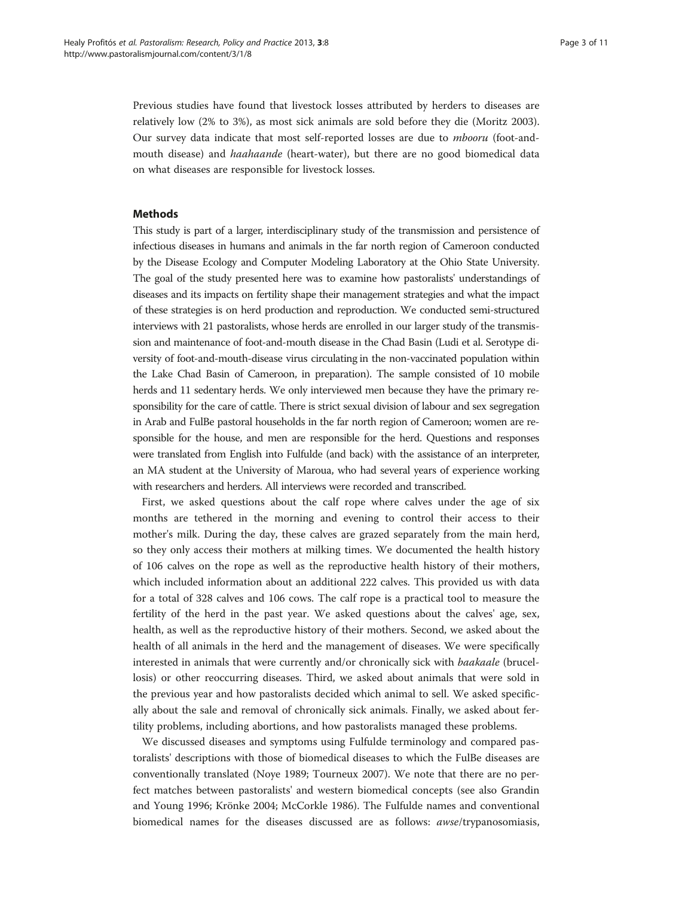Previous studies have found that livestock losses attributed by herders to diseases are relatively low (2% to 3%), as most sick animals are sold before they die (Moritz [2003](#page-10-0)). Our survey data indicate that most self-reported losses are due to mbooru (foot-andmouth disease) and *haahaande* (heart-water), but there are no good biomedical data on what diseases are responsible for livestock losses.

## Methods

This study is part of a larger, interdisciplinary study of the transmission and persistence of infectious diseases in humans and animals in the far north region of Cameroon conducted by the Disease Ecology and Computer Modeling Laboratory at the Ohio State University. The goal of the study presented here was to examine how pastoralists' understandings of diseases and its impacts on fertility shape their management strategies and what the impact of these strategies is on herd production and reproduction. We conducted semi-structured interviews with 21 pastoralists, whose herds are enrolled in our larger study of the transmission and maintenance of foot-and-mouth disease in the Chad Basin (Ludi et al. Serotype diversity of foot-and-mouth-disease virus circulating in the non-vaccinated population within the Lake Chad Basin of Cameroon, in preparation). The sample consisted of 10 mobile herds and 11 sedentary herds. We only interviewed men because they have the primary responsibility for the care of cattle. There is strict sexual division of labour and sex segregation in Arab and FulBe pastoral households in the far north region of Cameroon; women are responsible for the house, and men are responsible for the herd. Questions and responses were translated from English into Fulfulde (and back) with the assistance of an interpreter, an MA student at the University of Maroua, who had several years of experience working with researchers and herders. All interviews were recorded and transcribed.

First, we asked questions about the calf rope where calves under the age of six months are tethered in the morning and evening to control their access to their mother's milk. During the day, these calves are grazed separately from the main herd, so they only access their mothers at milking times. We documented the health history of 106 calves on the rope as well as the reproductive health history of their mothers, which included information about an additional 222 calves. This provided us with data for a total of 328 calves and 106 cows. The calf rope is a practical tool to measure the fertility of the herd in the past year. We asked questions about the calves' age, sex, health, as well as the reproductive history of their mothers. Second, we asked about the health of all animals in the herd and the management of diseases. We were specifically interested in animals that were currently and/or chronically sick with *baakaale* (brucellosis) or other reoccurring diseases. Third, we asked about animals that were sold in the previous year and how pastoralists decided which animal to sell. We asked specifically about the sale and removal of chronically sick animals. Finally, we asked about fertility problems, including abortions, and how pastoralists managed these problems.

We discussed diseases and symptoms using Fulfulde terminology and compared pastoralists' descriptions with those of biomedical diseases to which the FulBe diseases are conventionally translated (Noye [1989](#page-10-0); Tourneux [2007](#page-10-0)). We note that there are no perfect matches between pastoralists' and western biomedical concepts (see also Grandin and Young [1996](#page-10-0); Krönke [2004;](#page-10-0) McCorkle [1986\)](#page-10-0). The Fulfulde names and conventional biomedical names for the diseases discussed are as follows: awse/trypanosomiasis,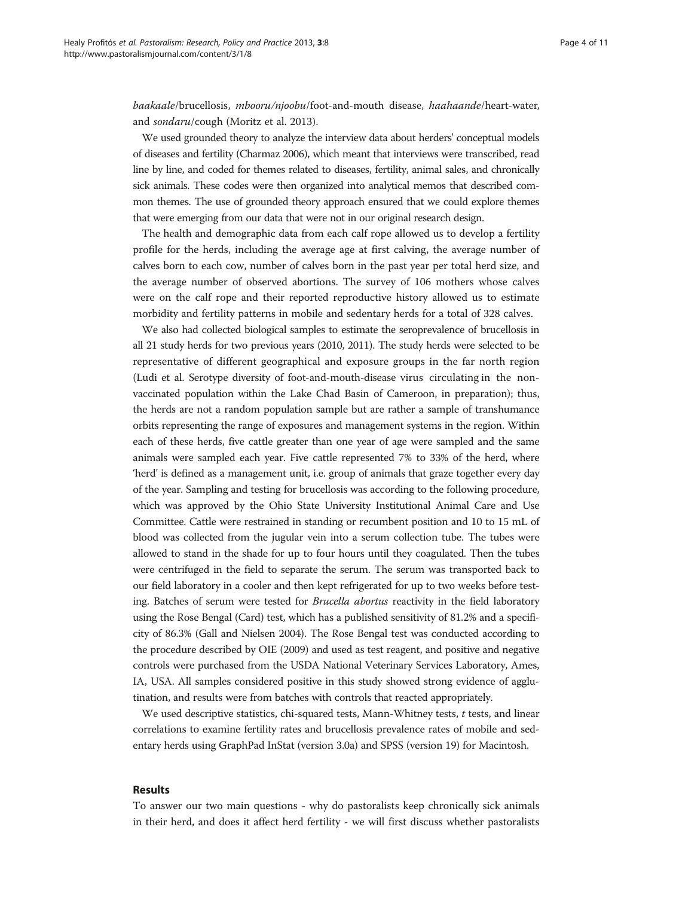baakaale/brucellosis, mbooru/njoobu/foot-and-mouth disease, haahaande/heart-water, and sondaru/cough (Moritz et al. [2013](#page-10-0)).

We used grounded theory to analyze the interview data about herders' conceptual models of diseases and fertility (Charmaz [2006](#page-9-0)), which meant that interviews were transcribed, read line by line, and coded for themes related to diseases, fertility, animal sales, and chronically sick animals. These codes were then organized into analytical memos that described common themes. The use of grounded theory approach ensured that we could explore themes that were emerging from our data that were not in our original research design.

The health and demographic data from each calf rope allowed us to develop a fertility profile for the herds, including the average age at first calving, the average number of calves born to each cow, number of calves born in the past year per total herd size, and the average number of observed abortions. The survey of 106 mothers whose calves were on the calf rope and their reported reproductive history allowed us to estimate morbidity and fertility patterns in mobile and sedentary herds for a total of 328 calves.

We also had collected biological samples to estimate the seroprevalence of brucellosis in all 21 study herds for two previous years (2010, 2011). The study herds were selected to be representative of different geographical and exposure groups in the far north region (Ludi et al. Serotype diversity of foot-and-mouth-disease virus circulating in the nonvaccinated population within the Lake Chad Basin of Cameroon, in preparation); thus, the herds are not a random population sample but are rather a sample of transhumance orbits representing the range of exposures and management systems in the region. Within each of these herds, five cattle greater than one year of age were sampled and the same animals were sampled each year. Five cattle represented 7% to 33% of the herd, where 'herd' is defined as a management unit, i.e. group of animals that graze together every day of the year. Sampling and testing for brucellosis was according to the following procedure, which was approved by the Ohio State University Institutional Animal Care and Use Committee. Cattle were restrained in standing or recumbent position and 10 to 15 mL of blood was collected from the jugular vein into a serum collection tube. The tubes were allowed to stand in the shade for up to four hours until they coagulated. Then the tubes were centrifuged in the field to separate the serum. The serum was transported back to our field laboratory in a cooler and then kept refrigerated for up to two weeks before testing. Batches of serum were tested for *Brucella abortus* reactivity in the field laboratory using the Rose Bengal (Card) test, which has a published sensitivity of 81.2% and a specificity of 86.3% (Gall and Nielsen 2004). The Rose Bengal test was conducted according to the procedure described by OIE ([2009](#page-10-0)) and used as test reagent, and positive and negative controls were purchased from the USDA National Veterinary Services Laboratory, Ames, IA, USA. All samples considered positive in this study showed strong evidence of agglutination, and results were from batches with controls that reacted appropriately.

We used descriptive statistics, chi-squared tests, Mann-Whitney tests,  $t$  tests, and linear correlations to examine fertility rates and brucellosis prevalence rates of mobile and sedentary herds using GraphPad InStat (version 3.0a) and SPSS (version 19) for Macintosh.

#### Results

To answer our two main questions - why do pastoralists keep chronically sick animals in their herd, and does it affect herd fertility - we will first discuss whether pastoralists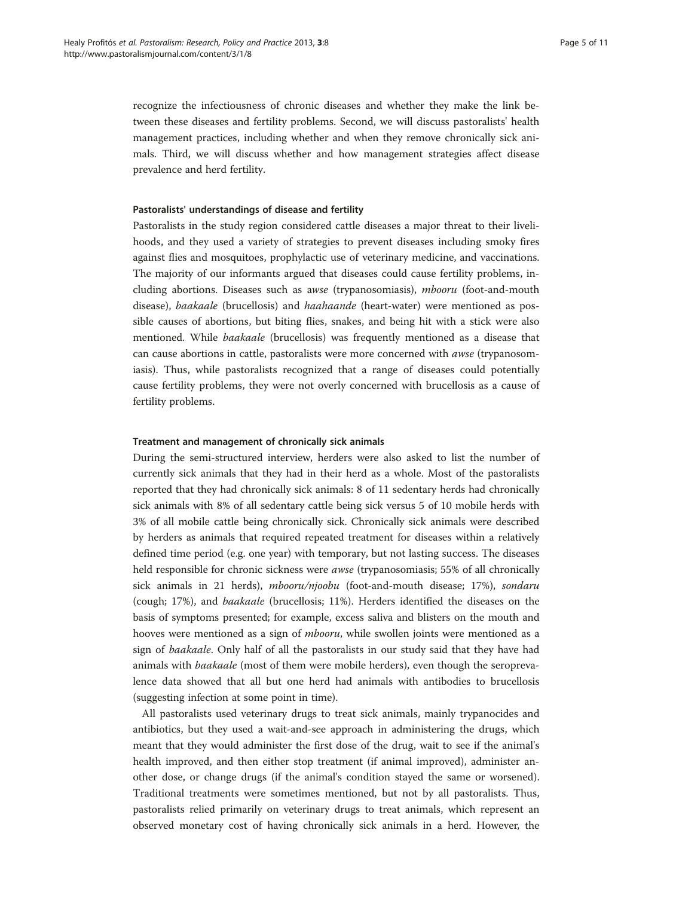recognize the infectiousness of chronic diseases and whether they make the link between these diseases and fertility problems. Second, we will discuss pastoralists' health management practices, including whether and when they remove chronically sick animals. Third, we will discuss whether and how management strategies affect disease prevalence and herd fertility.

# Pastoralists' understandings of disease and fertility

Pastoralists in the study region considered cattle diseases a major threat to their livelihoods, and they used a variety of strategies to prevent diseases including smoky fires against flies and mosquitoes, prophylactic use of veterinary medicine, and vaccinations. The majority of our informants argued that diseases could cause fertility problems, including abortions. Diseases such as awse (trypanosomiasis), mbooru (foot-and-mouth disease), baakaale (brucellosis) and haahaande (heart-water) were mentioned as possible causes of abortions, but biting flies, snakes, and being hit with a stick were also mentioned. While baakaale (brucellosis) was frequently mentioned as a disease that can cause abortions in cattle, pastoralists were more concerned with *awse* (trypanosomiasis). Thus, while pastoralists recognized that a range of diseases could potentially cause fertility problems, they were not overly concerned with brucellosis as a cause of fertility problems.

#### Treatment and management of chronically sick animals

During the semi-structured interview, herders were also asked to list the number of currently sick animals that they had in their herd as a whole. Most of the pastoralists reported that they had chronically sick animals: 8 of 11 sedentary herds had chronically sick animals with 8% of all sedentary cattle being sick versus 5 of 10 mobile herds with 3% of all mobile cattle being chronically sick. Chronically sick animals were described by herders as animals that required repeated treatment for diseases within a relatively defined time period (e.g. one year) with temporary, but not lasting success. The diseases held responsible for chronic sickness were *awse* (trypanosomiasis; 55% of all chronically sick animals in 21 herds), mbooru/njoobu (foot-and-mouth disease; 17%), sondaru (cough; 17%), and baakaale (brucellosis; 11%). Herders identified the diseases on the basis of symptoms presented; for example, excess saliva and blisters on the mouth and hooves were mentioned as a sign of mbooru, while swollen joints were mentioned as a sign of baakaale. Only half of all the pastoralists in our study said that they have had animals with baakaale (most of them were mobile herders), even though the seroprevalence data showed that all but one herd had animals with antibodies to brucellosis (suggesting infection at some point in time).

All pastoralists used veterinary drugs to treat sick animals, mainly trypanocides and antibiotics, but they used a wait-and-see approach in administering the drugs, which meant that they would administer the first dose of the drug, wait to see if the animal's health improved, and then either stop treatment (if animal improved), administer another dose, or change drugs (if the animal's condition stayed the same or worsened). Traditional treatments were sometimes mentioned, but not by all pastoralists. Thus, pastoralists relied primarily on veterinary drugs to treat animals, which represent an observed monetary cost of having chronically sick animals in a herd. However, the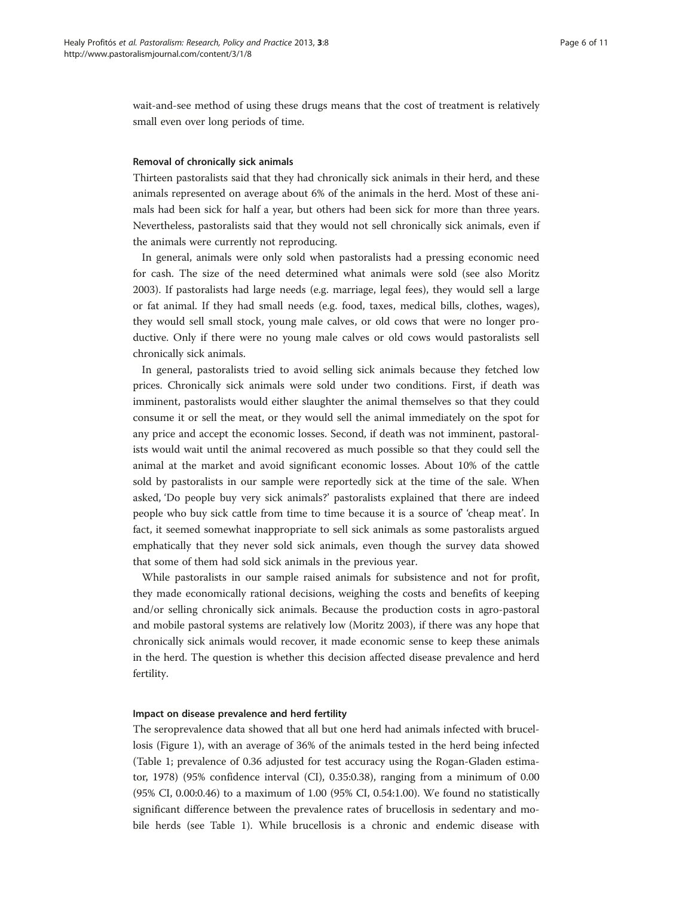wait-and-see method of using these drugs means that the cost of treatment is relatively small even over long periods of time.

#### Removal of chronically sick animals

Thirteen pastoralists said that they had chronically sick animals in their herd, and these animals represented on average about 6% of the animals in the herd. Most of these animals had been sick for half a year, but others had been sick for more than three years. Nevertheless, pastoralists said that they would not sell chronically sick animals, even if the animals were currently not reproducing.

In general, animals were only sold when pastoralists had a pressing economic need for cash. The size of the need determined what animals were sold (see also Moritz [2003](#page-10-0)). If pastoralists had large needs (e.g. marriage, legal fees), they would sell a large or fat animal. If they had small needs (e.g. food, taxes, medical bills, clothes, wages), they would sell small stock, young male calves, or old cows that were no longer productive. Only if there were no young male calves or old cows would pastoralists sell chronically sick animals.

In general, pastoralists tried to avoid selling sick animals because they fetched low prices. Chronically sick animals were sold under two conditions. First, if death was imminent, pastoralists would either slaughter the animal themselves so that they could consume it or sell the meat, or they would sell the animal immediately on the spot for any price and accept the economic losses. Second, if death was not imminent, pastoralists would wait until the animal recovered as much possible so that they could sell the animal at the market and avoid significant economic losses. About 10% of the cattle sold by pastoralists in our sample were reportedly sick at the time of the sale. When asked, 'Do people buy very sick animals?' pastoralists explained that there are indeed people who buy sick cattle from time to time because it is a source of' 'cheap meat'. In fact, it seemed somewhat inappropriate to sell sick animals as some pastoralists argued emphatically that they never sold sick animals, even though the survey data showed that some of them had sold sick animals in the previous year.

While pastoralists in our sample raised animals for subsistence and not for profit, they made economically rational decisions, weighing the costs and benefits of keeping and/or selling chronically sick animals. Because the production costs in agro-pastoral and mobile pastoral systems are relatively low (Moritz [2003\)](#page-10-0), if there was any hope that chronically sick animals would recover, it made economic sense to keep these animals in the herd. The question is whether this decision affected disease prevalence and herd fertility.

#### Impact on disease prevalence and herd fertility

The seroprevalence data showed that all but one herd had animals infected with brucellosis (Figure [1\)](#page-6-0), with an average of 36% of the animals tested in the herd being infected (Table [1](#page-6-0); prevalence of 0.36 adjusted for test accuracy using the Rogan-Gladen estimator, 1978) (95% confidence interval (CI), 0.35:0.38), ranging from a minimum of 0.00 (95% CI, 0.00:0.46) to a maximum of 1.00 (95% CI, 0.54:1.00). We found no statistically significant difference between the prevalence rates of brucellosis in sedentary and mobile herds (see Table [1](#page-6-0)). While brucellosis is a chronic and endemic disease with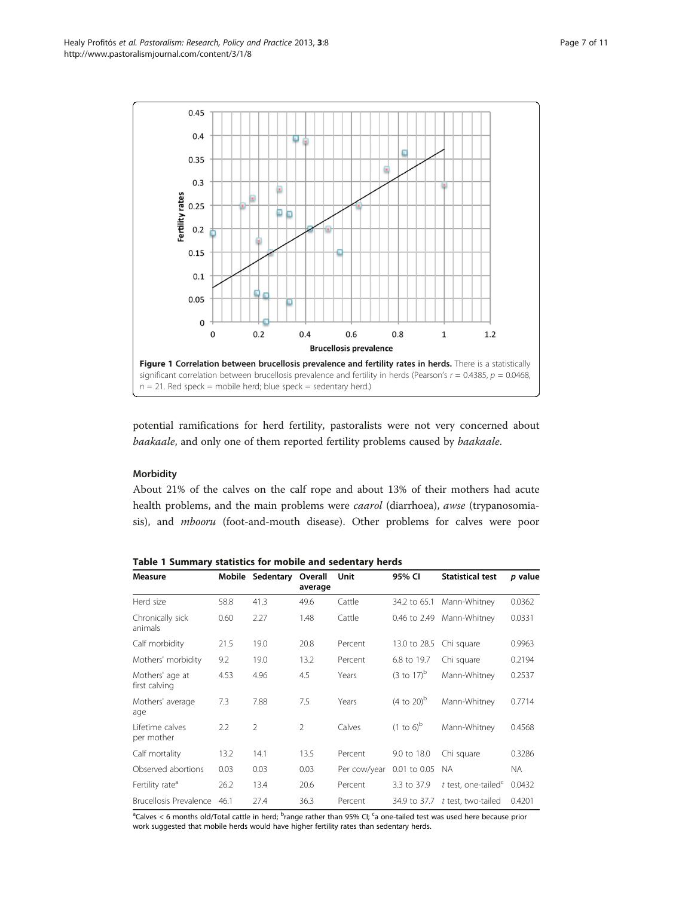<span id="page-6-0"></span>

potential ramifications for herd fertility, pastoralists were not very concerned about baakaale, and only one of them reported fertility problems caused by baakaale.

# **Morbidity**

About 21% of the calves on the calf rope and about 13% of their mothers had acute health problems, and the main problems were *caarol* (diarrhoea), awse (trypanosomiasis), and mbooru (foot-and-mouth disease). Other problems for calves were poor

Table 1 Summary statistics for mobile and sedentary herds Measure Mobile Sedentary Overall average Unit 95% CI Statistical test p value Herd size 58.8 41.3 49.6 Cattle 34.2 to 65.1 Mann-Whitney 0.0362 Chronically sick animals 0.60 2.27 1.48 Cattle 0.46 to 2.49 Mann-Whitney 0.0331 Calf morbidity 21.5 19.0 20.8 Percent 13.0 to 28.5 Chi square 0.9963 Mothers' morbidity 9.2 19.0 13.2 Percent 6.8 to 19.7 Chi square 0.2194 Mothers' age at first calving 4.53 4.96 4.5 Years  $(3 \text{ to } 17)^b$  Mann-Whitney 0.2537 Mothers' average age 7.3 7.88 7.5 Years  $(4 \text{ to } 20)^b$  Mann-Whitney 0.7714 Lifetime calves per mother 2.2 2 2 Calves  $(1 \text{ to } 6)^b$  Mann-Whitney 0.4568 Calf mortality 13.2 14.1 13.5 Percent 9.0 to 18.0 Chi square 0.3286 Observed abortions 0.03 0.03 0.03 Per cow/year 0.01 to 0.05 NA NA Fertility rate<sup>a</sup> 26.2 13.4 20.6 Percent 3.3 to 37.9 t test, one-tailed<sup>c</sup> 0.0432 Brucellosis Prevalence 46.1 27.4 36.3 Percent 34.9 to 37.7 t test, two-tailed 0.4201 <sup>a</sup>Calves < 6 months old/Total cattle in herd; <sup>b</sup>range rather than 95% CI; <sup>c</sup>a one-tailed test was used here because prior

work suggested that mobile herds would have higher fertility rates than sedentary herds.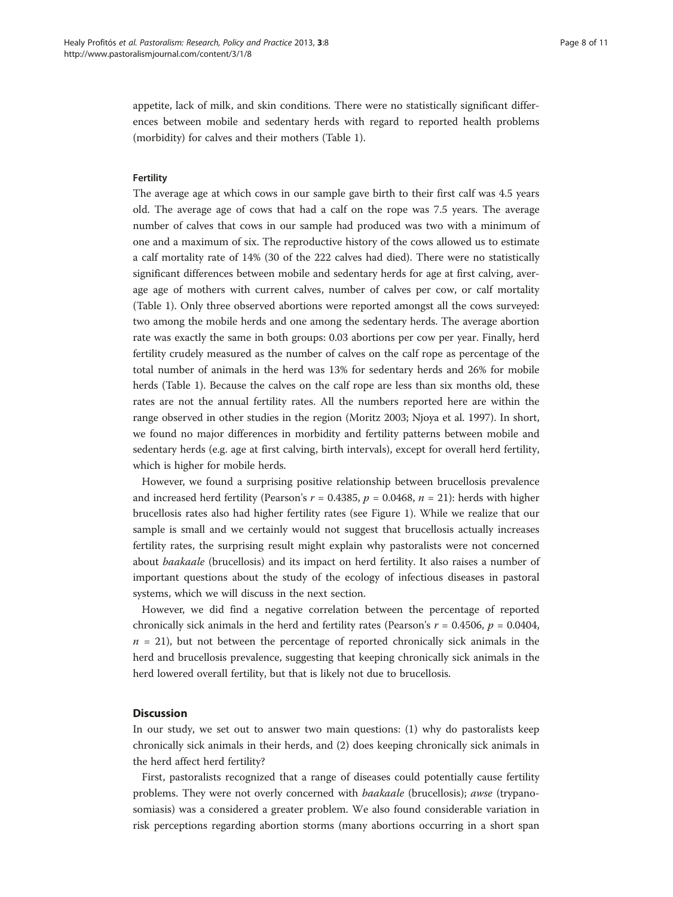appetite, lack of milk, and skin conditions. There were no statistically significant differences between mobile and sedentary herds with regard to reported health problems (morbidity) for calves and their mothers (Table [1](#page-6-0)).

#### **Fertility**

The average age at which cows in our sample gave birth to their first calf was 4.5 years old. The average age of cows that had a calf on the rope was 7.5 years. The average number of calves that cows in our sample had produced was two with a minimum of one and a maximum of six. The reproductive history of the cows allowed us to estimate a calf mortality rate of 14% (30 of the 222 calves had died). There were no statistically significant differences between mobile and sedentary herds for age at first calving, average age of mothers with current calves, number of calves per cow, or calf mortality (Table [1](#page-6-0)). Only three observed abortions were reported amongst all the cows surveyed: two among the mobile herds and one among the sedentary herds. The average abortion rate was exactly the same in both groups: 0.03 abortions per cow per year. Finally, herd fertility crudely measured as the number of calves on the calf rope as percentage of the total number of animals in the herd was 13% for sedentary herds and 26% for mobile herds (Table [1\)](#page-6-0). Because the calves on the calf rope are less than six months old, these rates are not the annual fertility rates. All the numbers reported here are within the range observed in other studies in the region (Moritz [2003;](#page-10-0) Njoya et al. [1997](#page-10-0)). In short, we found no major differences in morbidity and fertility patterns between mobile and sedentary herds (e.g. age at first calving, birth intervals), except for overall herd fertility, which is higher for mobile herds.

However, we found a surprising positive relationship between brucellosis prevalence and increased herd fertility (Pearson's  $r = 0.4385$ ,  $p = 0.0468$ ,  $n = 21$ ): herds with higher brucellosis rates also had higher fertility rates (see Figure [1\)](#page-6-0). While we realize that our sample is small and we certainly would not suggest that brucellosis actually increases fertility rates, the surprising result might explain why pastoralists were not concerned about baakaale (brucellosis) and its impact on herd fertility. It also raises a number of important questions about the study of the ecology of infectious diseases in pastoral systems, which we will discuss in the next section.

However, we did find a negative correlation between the percentage of reported chronically sick animals in the herd and fertility rates (Pearson's  $r = 0.4506$ ,  $p = 0.0404$ ,  $n = 21$ ), but not between the percentage of reported chronically sick animals in the herd and brucellosis prevalence, suggesting that keeping chronically sick animals in the herd lowered overall fertility, but that is likely not due to brucellosis.

## **Discussion**

In our study, we set out to answer two main questions: (1) why do pastoralists keep chronically sick animals in their herds, and (2) does keeping chronically sick animals in the herd affect herd fertility?

First, pastoralists recognized that a range of diseases could potentially cause fertility problems. They were not overly concerned with baakaale (brucellosis); awse (trypanosomiasis) was a considered a greater problem. We also found considerable variation in risk perceptions regarding abortion storms (many abortions occurring in a short span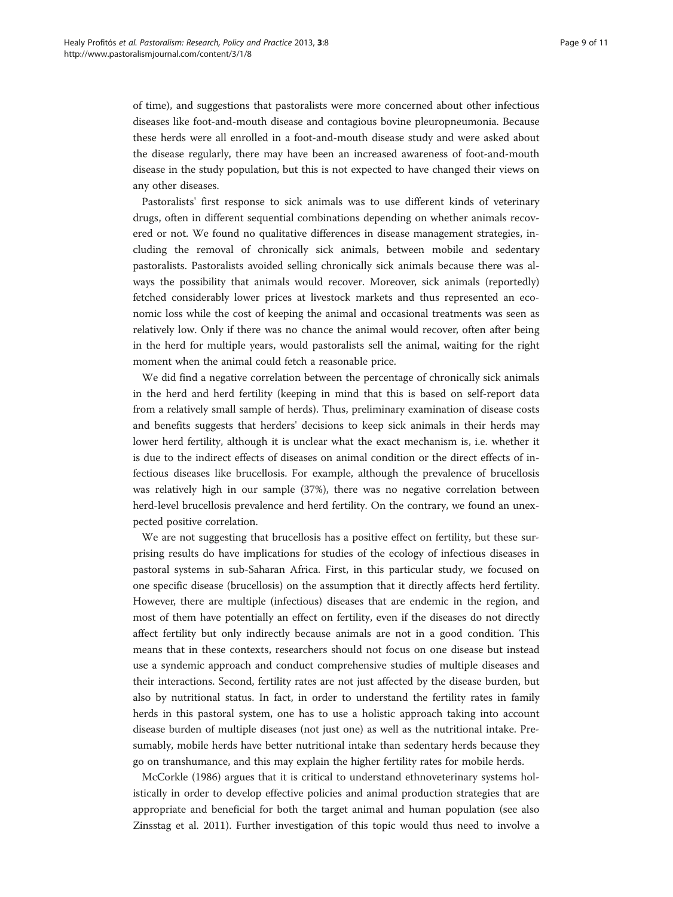of time), and suggestions that pastoralists were more concerned about other infectious diseases like foot-and-mouth disease and contagious bovine pleuropneumonia. Because these herds were all enrolled in a foot-and-mouth disease study and were asked about the disease regularly, there may have been an increased awareness of foot-and-mouth disease in the study population, but this is not expected to have changed their views on any other diseases.

Pastoralists' first response to sick animals was to use different kinds of veterinary drugs, often in different sequential combinations depending on whether animals recovered or not. We found no qualitative differences in disease management strategies, including the removal of chronically sick animals, between mobile and sedentary pastoralists. Pastoralists avoided selling chronically sick animals because there was always the possibility that animals would recover. Moreover, sick animals (reportedly) fetched considerably lower prices at livestock markets and thus represented an economic loss while the cost of keeping the animal and occasional treatments was seen as relatively low. Only if there was no chance the animal would recover, often after being in the herd for multiple years, would pastoralists sell the animal, waiting for the right moment when the animal could fetch a reasonable price.

We did find a negative correlation between the percentage of chronically sick animals in the herd and herd fertility (keeping in mind that this is based on self-report data from a relatively small sample of herds). Thus, preliminary examination of disease costs and benefits suggests that herders' decisions to keep sick animals in their herds may lower herd fertility, although it is unclear what the exact mechanism is, i.e. whether it is due to the indirect effects of diseases on animal condition or the direct effects of infectious diseases like brucellosis. For example, although the prevalence of brucellosis was relatively high in our sample (37%), there was no negative correlation between herd-level brucellosis prevalence and herd fertility. On the contrary, we found an unexpected positive correlation.

We are not suggesting that brucellosis has a positive effect on fertility, but these surprising results do have implications for studies of the ecology of infectious diseases in pastoral systems in sub-Saharan Africa. First, in this particular study, we focused on one specific disease (brucellosis) on the assumption that it directly affects herd fertility. However, there are multiple (infectious) diseases that are endemic in the region, and most of them have potentially an effect on fertility, even if the diseases do not directly affect fertility but only indirectly because animals are not in a good condition. This means that in these contexts, researchers should not focus on one disease but instead use a syndemic approach and conduct comprehensive studies of multiple diseases and their interactions. Second, fertility rates are not just affected by the disease burden, but also by nutritional status. In fact, in order to understand the fertility rates in family herds in this pastoral system, one has to use a holistic approach taking into account disease burden of multiple diseases (not just one) as well as the nutritional intake. Presumably, mobile herds have better nutritional intake than sedentary herds because they go on transhumance, and this may explain the higher fertility rates for mobile herds.

McCorkle ([1986\)](#page-10-0) argues that it is critical to understand ethnoveterinary systems holistically in order to develop effective policies and animal production strategies that are appropriate and beneficial for both the target animal and human population (see also Zinsstag et al. [2011\)](#page-10-0). Further investigation of this topic would thus need to involve a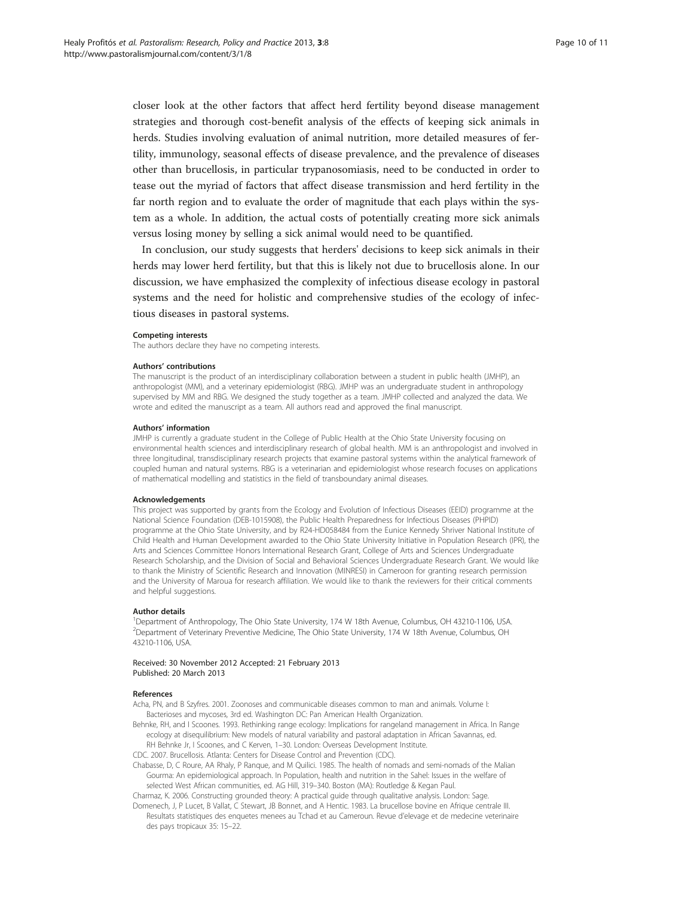<span id="page-9-0"></span>closer look at the other factors that affect herd fertility beyond disease management strategies and thorough cost-benefit analysis of the effects of keeping sick animals in herds. Studies involving evaluation of animal nutrition, more detailed measures of fertility, immunology, seasonal effects of disease prevalence, and the prevalence of diseases other than brucellosis, in particular trypanosomiasis, need to be conducted in order to tease out the myriad of factors that affect disease transmission and herd fertility in the far north region and to evaluate the order of magnitude that each plays within the system as a whole. In addition, the actual costs of potentially creating more sick animals versus losing money by selling a sick animal would need to be quantified.

In conclusion, our study suggests that herders' decisions to keep sick animals in their herds may lower herd fertility, but that this is likely not due to brucellosis alone. In our discussion, we have emphasized the complexity of infectious disease ecology in pastoral systems and the need for holistic and comprehensive studies of the ecology of infectious diseases in pastoral systems.

#### Competing interests

The authors declare they have no competing interests.

#### Authors' contributions

The manuscript is the product of an interdisciplinary collaboration between a student in public health (JMHP), an anthropologist (MM), and a veterinary epidemiologist (RBG). JMHP was an undergraduate student in anthropology supervised by MM and RBG. We designed the study together as a team. JMHP collected and analyzed the data. We wrote and edited the manuscript as a team. All authors read and approved the final manuscript.

#### Authors' information

JMHP is currently a graduate student in the College of Public Health at the Ohio State University focusing on environmental health sciences and interdisciplinary research of global health. MM is an anthropologist and involved in three longitudinal, transdisciplinary research projects that examine pastoral systems within the analytical framework of coupled human and natural systems. RBG is a veterinarian and epidemiologist whose research focuses on applications of mathematical modelling and statistics in the field of transboundary animal diseases.

#### Acknowledgements

This project was supported by grants from the Ecology and Evolution of Infectious Diseases (EEID) programme at the National Science Foundation (DEB-1015908), the Public Health Preparedness for Infectious Diseases (PHPID) programme at the Ohio State University, and by R24-HD058484 from the Eunice Kennedy Shriver National Institute of Child Health and Human Development awarded to the Ohio State University Initiative in Population Research (IPR), the Arts and Sciences Committee Honors International Research Grant, College of Arts and Sciences Undergraduate Research Scholarship, and the Division of Social and Behavioral Sciences Undergraduate Research Grant. We would like to thank the Ministry of Scientific Research and Innovation (MINRESI) in Cameroon for granting research permission and the University of Maroua for research affiliation. We would like to thank the reviewers for their critical comments and helpful suggestions.

#### Author details

<sup>1</sup>Department of Anthropology, The Ohio State University, 174 W 18th Avenue, Columbus, OH 43210-1106, USA. <sup>2</sup>Department of Veterinary Preventive Medicine, The Ohio State University, 174 W 18th Avenue, Columbus, OH 43210-1106, USA.

#### Received: 30 November 2012 Accepted: 21 February 2013 Published: 20 March 2013

#### References

Acha, PN, and B Szyfres. 2001. Zoonoses and communicable diseases common to man and animals. Volume I: Bacterioses and mycoses, 3rd ed. Washington DC: Pan American Health Organization.

- Behnke, RH, and I Scoones. 1993. Rethinking range ecology: Implications for rangeland management in Africa. In Range ecology at disequilibrium: New models of natural variability and pastoral adaptation in African Savannas, ed. RH Behnke Jr, I Scoones, and C Kerven, 1–30. London: Overseas Development Institute.
- CDC. 2007. Brucellosis. Atlanta: Centers for Disease Control and Prevention (CDC).

Chabasse, D, C Roure, AA Rhaly, P Ranque, and M Quilici. 1985. The health of nomads and semi-nomads of the Malian Gourma: An epidemiological approach. In Population, health and nutrition in the Sahel: Issues in the welfare of selected West African communities, ed. AG Hill, 319–340. Boston (MA): Routledge & Kegan Paul.

Charmaz, K. 2006. Constructing grounded theory: A practical guide through qualitative analysis. London: Sage.

Domenech, J, P Lucet, B Vallat, C Stewart, JB Bonnet, and A Hentic. 1983. La brucellose bovine en Afrique centrale III. Resultats statistiques des enquetes menees au Tchad et au Cameroun. Revue d'elevage et de medecine veterinaire des pays tropicaux 35: 15–22.